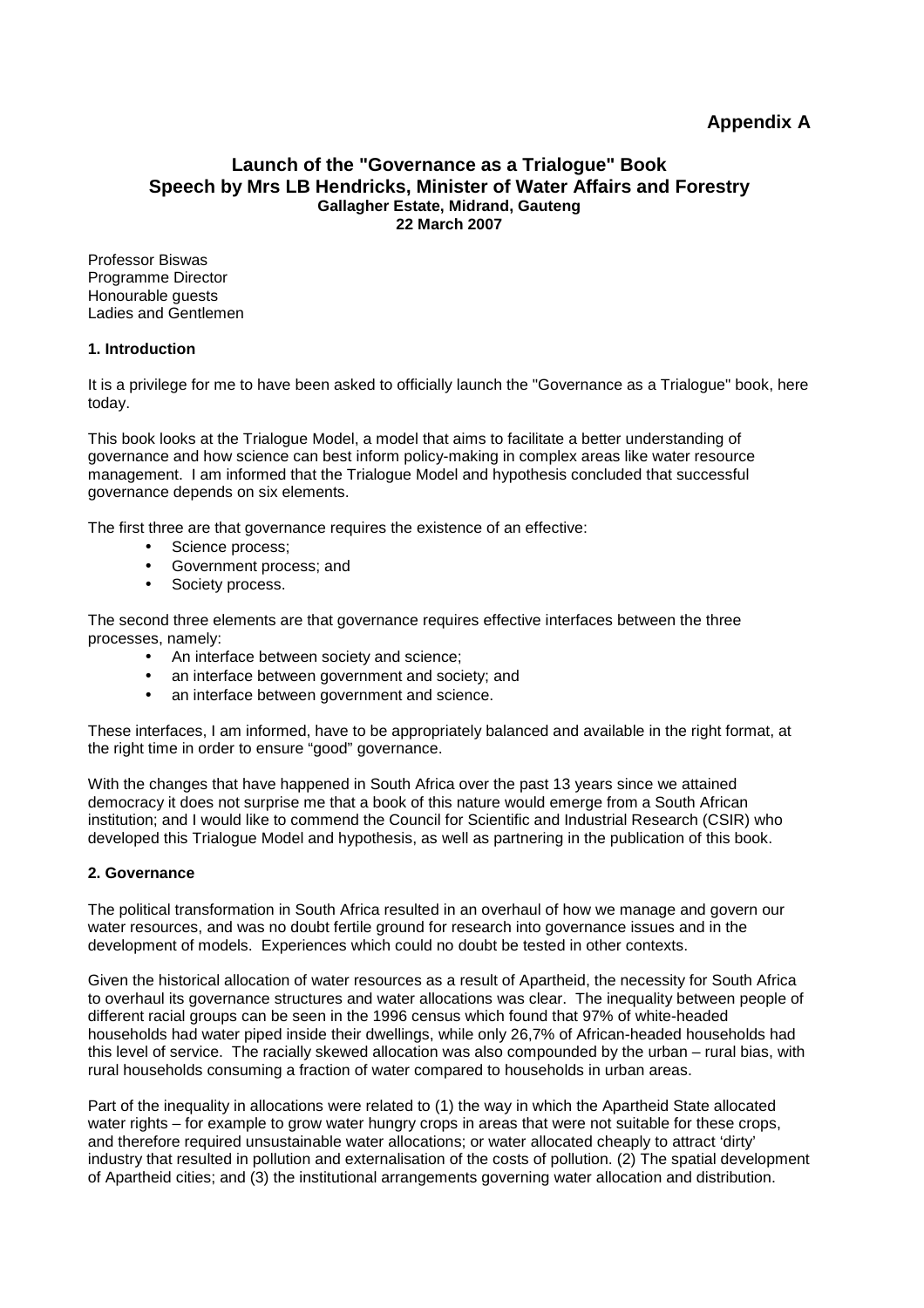# **Appendix A**

## **Launch of the "Governance as a Trialogue" Book Speech by Mrs LB Hendricks, Minister of Water Affairs and Forestry Gallagher Estate, Midrand, Gauteng 22 March 2007**

Professor Biswas Programme Director Honourable guests Ladies and Gentlemen

#### **1. Introduction**

It is a privilege for me to have been asked to officially launch the "Governance as a Trialogue" book, here today.

This book looks at the Trialogue Model, a model that aims to facilitate a better understanding of governance and how science can best inform policy-making in complex areas like water resource management. I am informed that the Trialogue Model and hypothesis concluded that successful governance depends on six elements.

The first three are that governance requires the existence of an effective:

- Science process;
- Government process; and
- Society process.

The second three elements are that governance requires effective interfaces between the three processes, namely:

- An interface between society and science;
- an interface between government and society; and
- an interface between government and science.

These interfaces, I am informed, have to be appropriately balanced and available in the right format, at the right time in order to ensure "good" governance.

With the changes that have happened in South Africa over the past 13 years since we attained democracy it does not surprise me that a book of this nature would emerge from a South African institution; and I would like to commend the Council for Scientific and Industrial Research (CSIR) who developed this Trialogue Model and hypothesis, as well as partnering in the publication of this book.

#### **2. Governance**

The political transformation in South Africa resulted in an overhaul of how we manage and govern our water resources, and was no doubt fertile ground for research into governance issues and in the development of models. Experiences which could no doubt be tested in other contexts.

Given the historical allocation of water resources as a result of Apartheid, the necessity for South Africa to overhaul its governance structures and water allocations was clear. The inequality between people of different racial groups can be seen in the 1996 census which found that 97% of white-headed households had water piped inside their dwellings, while only 26,7% of African-headed households had this level of service. The racially skewed allocation was also compounded by the urban – rural bias, with rural households consuming a fraction of water compared to households in urban areas.

Part of the inequality in allocations were related to (1) the way in which the Apartheid State allocated water rights – for example to grow water hungry crops in areas that were not suitable for these crops, and therefore required unsustainable water allocations; or water allocated cheaply to attract 'dirty' industry that resulted in pollution and externalisation of the costs of pollution. (2) The spatial development of Apartheid cities; and (3) the institutional arrangements governing water allocation and distribution.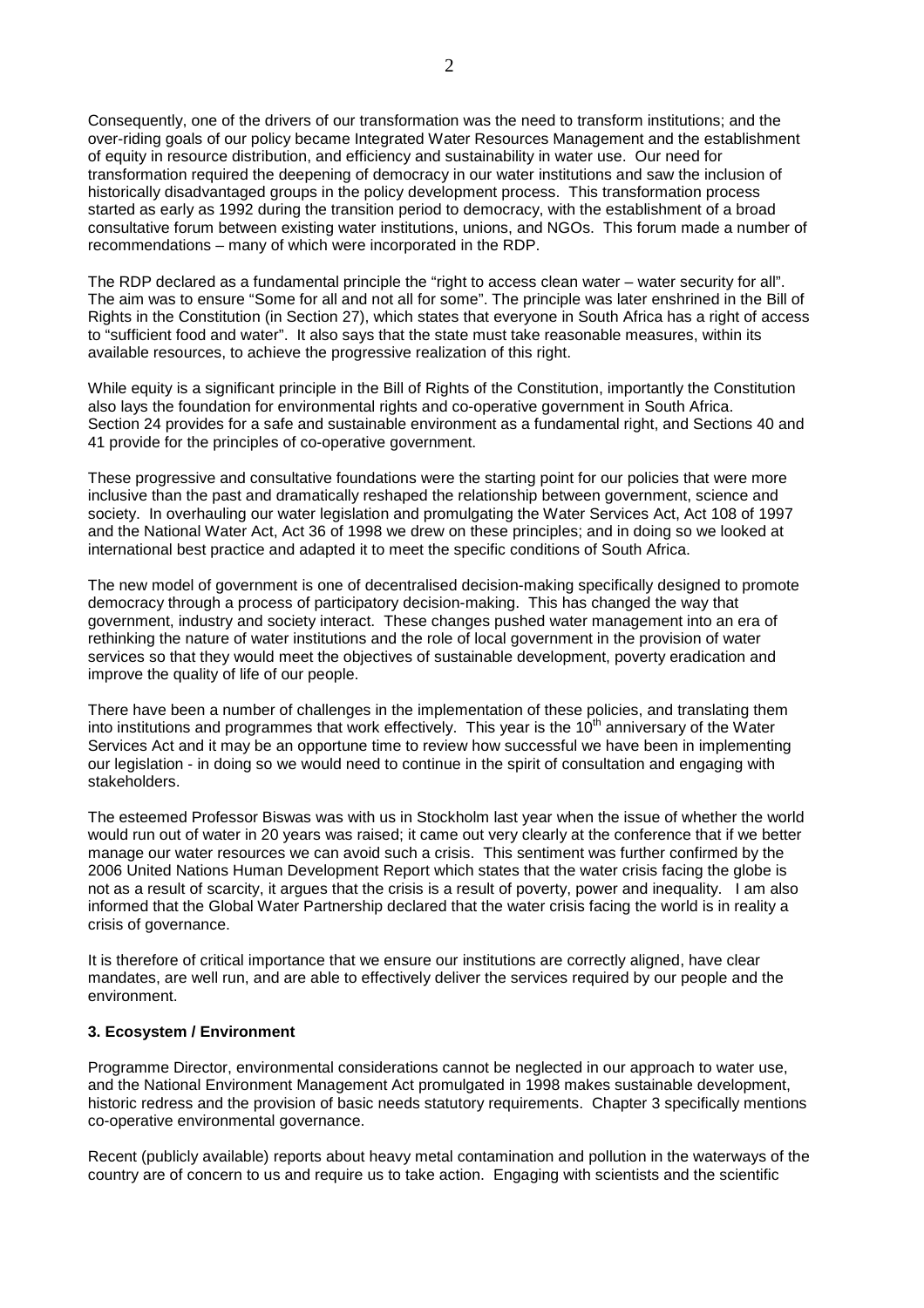Consequently, one of the drivers of our transformation was the need to transform institutions; and the over-riding goals of our policy became Integrated Water Resources Management and the establishment of equity in resource distribution, and efficiency and sustainability in water use. Our need for transformation required the deepening of democracy in our water institutions and saw the inclusion of historically disadvantaged groups in the policy development process. This transformation process started as early as 1992 during the transition period to democracy, with the establishment of a broad consultative forum between existing water institutions, unions, and NGOs. This forum made a number of recommendations – many of which were incorporated in the RDP.

The RDP declared as a fundamental principle the "right to access clean water – water security for all". The aim was to ensure "Some for all and not all for some". The principle was later enshrined in the Bill of Rights in the Constitution (in Section 27), which states that everyone in South Africa has a right of access to "sufficient food and water". It also says that the state must take reasonable measures, within its available resources, to achieve the progressive realization of this right.

While equity is a significant principle in the Bill of Rights of the Constitution, importantly the Constitution also lays the foundation for environmental rights and co-operative government in South Africa. Section 24 provides for a safe and sustainable environment as a fundamental right, and Sections 40 and 41 provide for the principles of co-operative government.

These progressive and consultative foundations were the starting point for our policies that were more inclusive than the past and dramatically reshaped the relationship between government, science and society. In overhauling our water legislation and promulgating the Water Services Act, Act 108 of 1997 and the National Water Act, Act 36 of 1998 we drew on these principles; and in doing so we looked at international best practice and adapted it to meet the specific conditions of South Africa.

The new model of government is one of decentralised decision-making specifically designed to promote democracy through a process of participatory decision-making. This has changed the way that government, industry and society interact. These changes pushed water management into an era of rethinking the nature of water institutions and the role of local government in the provision of water services so that they would meet the objectives of sustainable development, poverty eradication and improve the quality of life of our people.

There have been a number of challenges in the implementation of these policies, and translating them into institutions and programmes that work effectively. This year is the 10<sup>th</sup> anniversary of the Water Services Act and it may be an opportune time to review how successful we have been in implementing our legislation - in doing so we would need to continue in the spirit of consultation and engaging with stakeholders.

The esteemed Professor Biswas was with us in Stockholm last year when the issue of whether the world would run out of water in 20 years was raised; it came out very clearly at the conference that if we better manage our water resources we can avoid such a crisis. This sentiment was further confirmed by the 2006 United Nations Human Development Report which states that the water crisis facing the globe is not as a result of scarcity, it argues that the crisis is a result of poverty, power and inequality. I am also informed that the Global Water Partnership declared that the water crisis facing the world is in reality a crisis of governance.

It is therefore of critical importance that we ensure our institutions are correctly aligned, have clear mandates, are well run, and are able to effectively deliver the services required by our people and the environment.

#### **3. Ecosystem / Environment**

Programme Director, environmental considerations cannot be neglected in our approach to water use, and the National Environment Management Act promulgated in 1998 makes sustainable development, historic redress and the provision of basic needs statutory requirements. Chapter 3 specifically mentions co-operative environmental governance.

Recent (publicly available) reports about heavy metal contamination and pollution in the waterways of the country are of concern to us and require us to take action. Engaging with scientists and the scientific